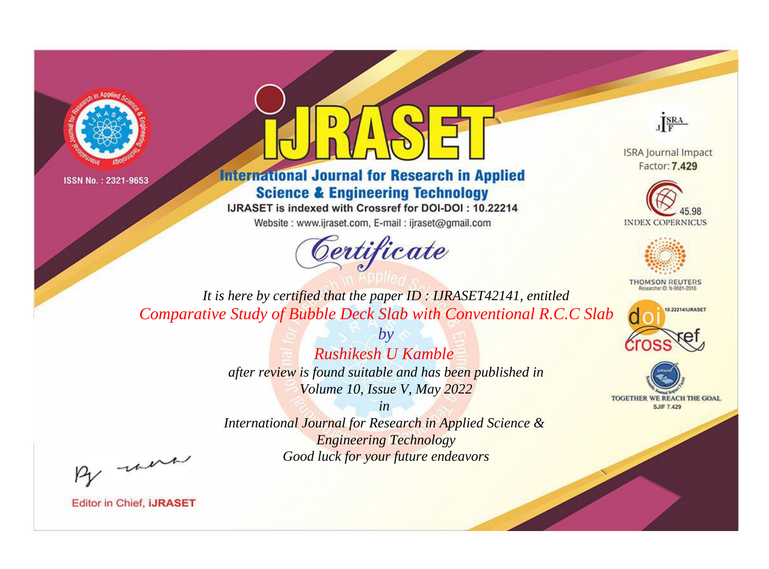



**International Journal for Research in Applied Science & Engineering Technology** 

IJRASET is indexed with Crossref for DOI-DOI: 10.22214

Website: www.ijraset.com, E-mail: ijraset@gmail.com



JERA

**ISRA Journal Impact** Factor: 7.429





**THOMSON REUTERS** 



TOGETHER WE REACH THE GOAL **SJIF 7.429** 

*It is here by certified that the paper ID : IJRASET42141, entitled Comparative Study of Bubble Deck Slab with Conventional R.C.C Slab*

> *Rushikesh U Kamble after review is found suitable and has been published in Volume 10, Issue V, May 2022*

*by*

*in* 

*International Journal for Research in Applied Science & Engineering Technology Good luck for your future endeavors*

By morn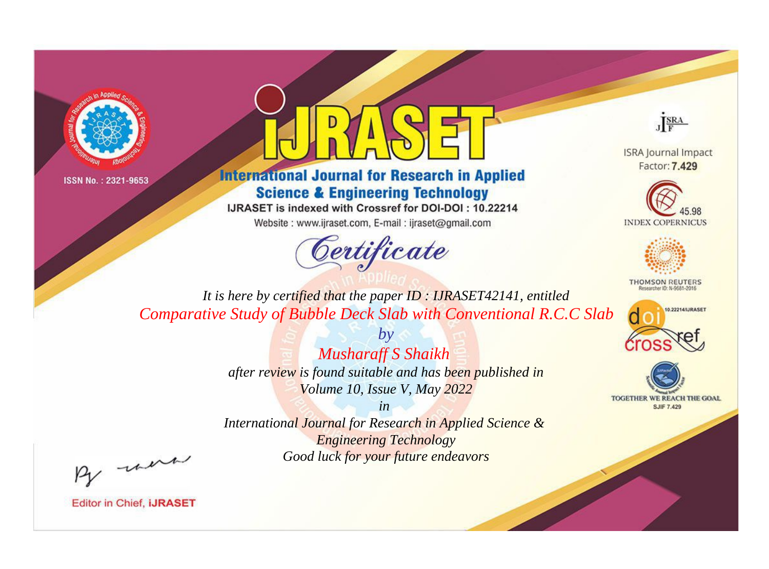



## **International Journal for Research in Applied Science & Engineering Technology**

IJRASET is indexed with Crossref for DOI-DOI: 10.22214

Website: www.ijraset.com, E-mail: ijraset@gmail.com



JERA

**ISRA Journal Impact** Factor: 7.429





**THOMSON REUTERS** 



TOGETHER WE REACH THE GOAL **SJIF 7.429** 

*It is here by certified that the paper ID : IJRASET42141, entitled Comparative Study of Bubble Deck Slab with Conventional R.C.C Slab*

> *by Musharaff S Shaikh after review is found suitable and has been published in Volume 10, Issue V, May 2022*

> > *in*

*International Journal for Research in Applied Science & Engineering Technology Good luck for your future endeavors*

By morn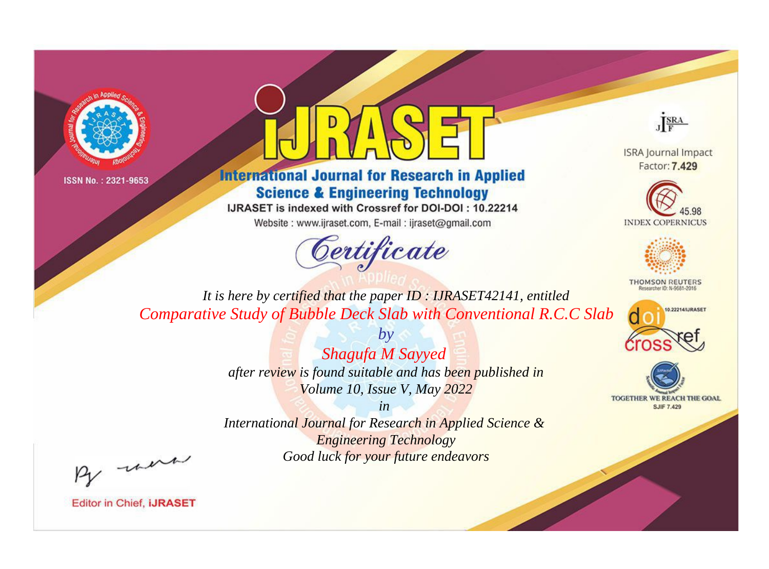



**International Journal for Research in Applied Science & Engineering Technology** 

IJRASET is indexed with Crossref for DOI-DOI: 10.22214

Website: www.ijraset.com, E-mail: ijraset@gmail.com



JERA

**ISRA Journal Impact** Factor: 7.429





**THOMSON REUTERS** 



TOGETHER WE REACH THE GOAL **SJIF 7.429** 

*It is here by certified that the paper ID : IJRASET42141, entitled Comparative Study of Bubble Deck Slab with Conventional R.C.C Slab*

> *Shagufa M Sayyed after review is found suitable and has been published in Volume 10, Issue V, May 2022*

*by*

*in International Journal for Research in Applied Science & Engineering Technology*

*Good luck for your future endeavors*

By morn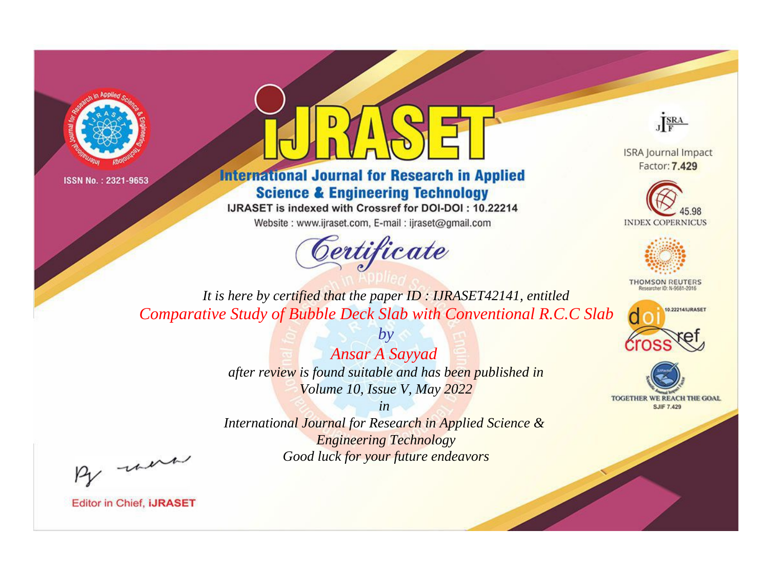



## **International Journal for Research in Applied Science & Engineering Technology**

IJRASET is indexed with Crossref for DOI-DOI: 10.22214

Website: www.ijraset.com, E-mail: ijraset@gmail.com



JERA

**ISRA Journal Impact** Factor: 7.429





**THOMSON REUTERS** 



TOGETHER WE REACH THE GOAL **SJIF 7.429** 

*It is here by certified that the paper ID : IJRASET42141, entitled Comparative Study of Bubble Deck Slab with Conventional R.C.C Slab*

> *by Ansar A Sayyad after review is found suitable and has been published in Volume 10, Issue V, May 2022*

> > *in*

*International Journal for Research in Applied Science & Engineering Technology Good luck for your future endeavors*

By morn